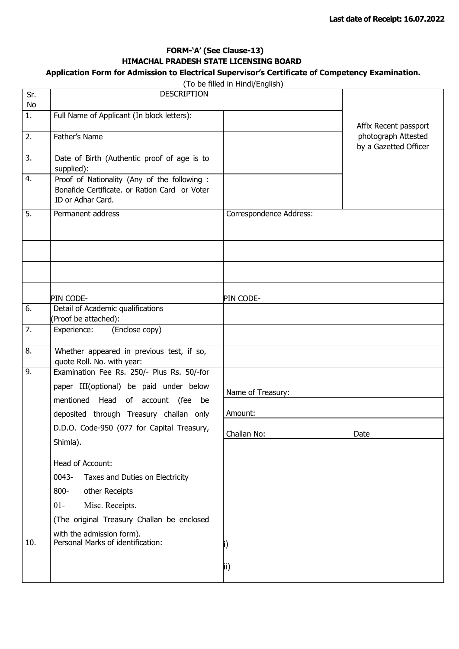## **FORM-'A' (See Clause-13) HIMACHAL PRADESH STATE LICENSING BOARD**

#### **Application Form for Admission to Electrical Supervisor's Certificate of Competency Examination.** (To be filled in Hindi/English)

|                  |                                                                                                                    | (To be filled in Hindi/English) |                                              |
|------------------|--------------------------------------------------------------------------------------------------------------------|---------------------------------|----------------------------------------------|
| Sr.<br>No        | <b>DESCRIPTION</b>                                                                                                 |                                 |                                              |
| $\overline{1}$ . | Full Name of Applicant (In block letters):                                                                         |                                 | Affix Recent passport                        |
| $\overline{2}$ . | Father's Name                                                                                                      |                                 | photograph Attested<br>by a Gazetted Officer |
| $\overline{3}$ . | Date of Birth (Authentic proof of age is to<br>supplied):                                                          |                                 |                                              |
| 4.               | Proof of Nationality (Any of the following :<br>Bonafide Certificate. or Ration Card or Voter<br>ID or Adhar Card. |                                 |                                              |
| $\overline{5}$ . | Permanent address                                                                                                  | Correspondence Address:         |                                              |
|                  |                                                                                                                    |                                 |                                              |
|                  | PIN CODE-                                                                                                          | PIN CODE-                       |                                              |
| 6.               | Detail of Academic qualifications<br>(Proof be attached):                                                          |                                 |                                              |
| 7.               | (Enclose copy)<br>Experience:                                                                                      |                                 |                                              |
| 8.               | Whether appeared in previous test, if so,<br>quote Roll. No. with year:                                            |                                 |                                              |
| 9.               | Examination Fee Rs. 250/- Plus Rs. 50/-for                                                                         |                                 |                                              |
|                  | paper III(optional) be paid under below<br>mentioned Head of account (fee<br>be                                    | Name of Treasury:               |                                              |
|                  | deposited through Treasury challan only                                                                            | Amount:                         |                                              |
|                  | D.D.O. Code-950 (077 for Capital Treasury,<br>Shimla).                                                             | Challan No:                     | Date                                         |
|                  |                                                                                                                    |                                 |                                              |
|                  | Head of Account:<br>0043-<br>Taxes and Duties on Electricity                                                       |                                 |                                              |
|                  | $800 -$<br>other Receipts                                                                                          |                                 |                                              |
|                  | Misc. Receipts.<br>$01 -$                                                                                          |                                 |                                              |
|                  | (The original Treasury Challan be enclosed                                                                         |                                 |                                              |
| 10.              | with the admission form).<br>Personal Marks of identification:                                                     |                                 |                                              |
|                  |                                                                                                                    | i)                              |                                              |
|                  |                                                                                                                    | ii)                             |                                              |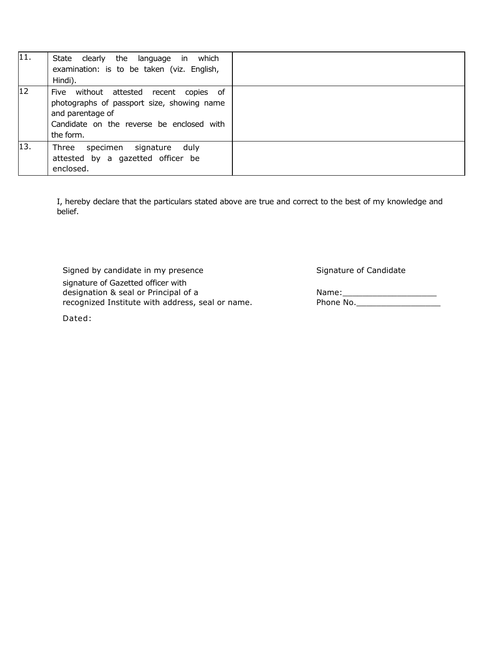| 11.             | State clearly the language in which<br>examination: is to be taken (viz. English,<br>Hindi).                                                                          |  |
|-----------------|-----------------------------------------------------------------------------------------------------------------------------------------------------------------------|--|
| 12 <sup>2</sup> | Five without attested recent<br>copies of<br>photographs of passport size, showing name<br>and parentage of<br>Candidate on the reverse be enclosed with<br>the form. |  |
| 13.             | duly<br>Three<br>specimen<br>signature<br>attested by a gazetted officer be<br>enclosed.                                                                              |  |

I, hereby declare that the particulars stated above are true and correct to the best of my knowledge and belief.

Signed by candidate in my presence Signature of Candidate Signature of Candidate

signature of Gazetted officer with designation & seal or Principal of a Name:\_\_\_\_\_\_\_\_\_\_\_\_\_\_\_\_\_\_\_ recognized Institute with address, seal or name. Phone No. \_\_\_\_\_\_\_\_\_\_\_\_\_\_\_

Dated: